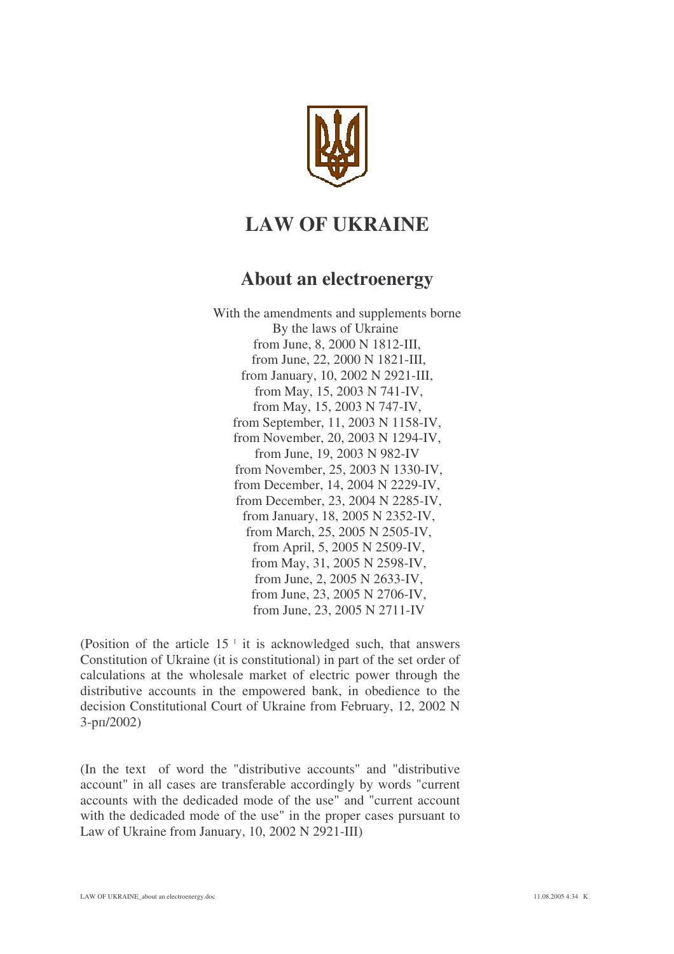

# **LAW OF UKRAINE**

# **About an electroenergy**

With the amendments and supplements borne By the laws of Ukraine from June, 8, 2000 N 1812-III, from June, 22, 2000 N 1821-III, from January, 10, 2002 N 2921-III, from May, 15, 2003 N 741-IV, from May, 15, 2003 N 747-IV, from September, 11, 2003 N 1158-IV, from November, 20, 2003 N 1294-IV, from June, 19, 2003 N 982-IV from November, 25, 2003 N 1330-IV, from December, 14, 2004 N 2229-IV, from December, 23, 2004 N 2285-IV, from January, 18, 2005 N 2352-IV, from March, 25, 2005 N 2505-IV, from April, 5, 2005 N 2509-IV, from May, 31, 2005 N 2598-IV, from June, 2, 2005 N 2633-IV, from June, 23, 2005 N 2706-IV, from June, 23, 2005 N 2711-IV

(Position of the article  $15<sup>-1</sup>$  it is acknowledged such, that answers Constitution of Ukraine (it is constitutional) in part of the set order of calculations at the wholesale market of electric power through the distributive accounts in the empowered bank, in obedience to the decision Constitutional Court of Ukraine from February, 12, 2002 N 3-рп/2002)

(In the text of word the "distributive accounts" and "distributive account" in all cases are transferable accordingly by words "current accounts with the dedicaded mode of the use" and "current account with the dedicaded mode of the use" in the proper cases pursuant to Law of Ukraine from January, 10, 2002 N 2921-III)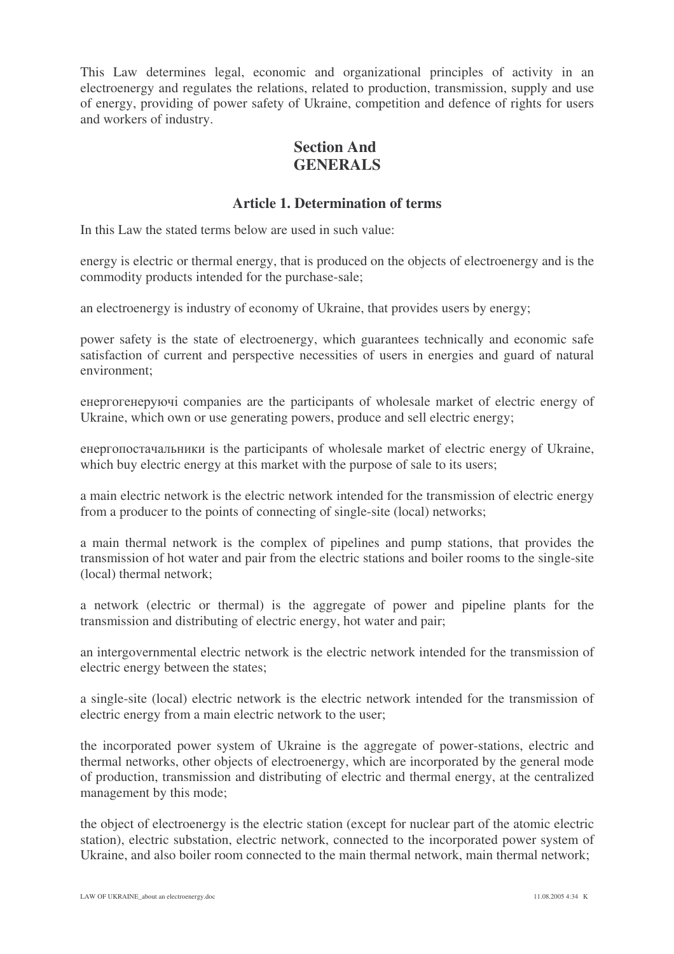This Law determines legal, economic and organizational principles of activity in an electroenergy and regulates the relations, related to production, transmission, supply and use of energy, providing of power safety of Ukraine, competition and defence of rights for users and workers of industry.

## **Section And GENERALS**

#### **Article 1. Determination of terms**

In this Law the stated terms below are used in such value:

energy is electric or thermal energy, that is produced on the objects of electroenergy and is the commodity products intended for the purchase-sale;

an electroenergy is industry of economy of Ukraine, that provides users by energy;

power safety is the state of electroenergy, which guarantees technically and economic safe satisfaction of current and perspective necessities of users in energies and guard of natural environment;

енергогенеруючі companies are the participants of wholesale market of electric energy of Ukraine, which own or use generating powers, produce and sell electric energy;

енергопостачальники is the participants of wholesale market of electric energy of Ukraine, which buy electric energy at this market with the purpose of sale to its users;

a main electric network is the electric network intended for the transmission of electric energy from a producer to the points of connecting of single-site (local) networks;

a main thermal network is the complex of pipelines and pump stations, that provides the transmission of hot water and pair from the electric stations and boiler rooms to the single-site (local) thermal network;

a network (electric or thermal) is the aggregate of power and pipeline plants for the transmission and distributing of electric energy, hot water and pair;

an intergovernmental electric network is the electric network intended for the transmission of electric energy between the states;

a single-site (local) electric network is the electric network intended for the transmission of electric energy from a main electric network to the user;

the incorporated power system of Ukraine is the aggregate of power-stations, electric and thermal networks, other objects of electroenergy, which are incorporated by the general mode of production, transmission and distributing of electric and thermal energy, at the centralized management by this mode;

the object of electroenergy is the electric station (except for nuclear part of the atomic electric station), electric substation, electric network, connected to the incorporated power system of Ukraine, and also boiler room connected to the main thermal network, main thermal network;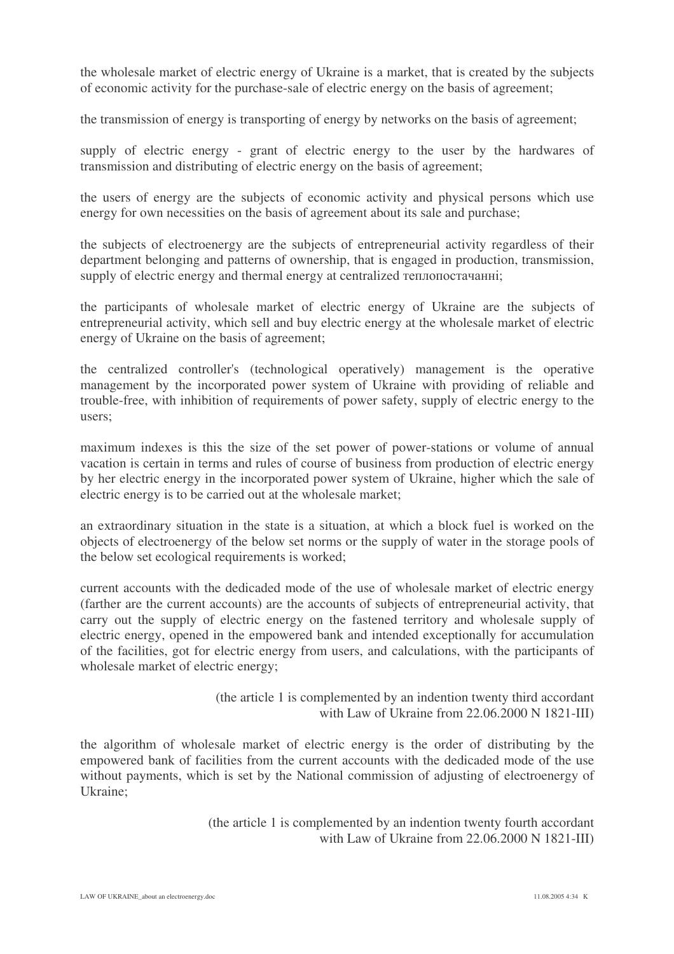the wholesale market of electric energy of Ukraine is a market, that is created by the subjects of economic activity for the purchase-sale of electric energy on the basis of agreement;

the transmission of energy is transporting of energy by networks on the basis of agreement;

supply of electric energy - grant of electric energy to the user by the hardwares of transmission and distributing of electric energy on the basis of agreement;

the users of energy are the subjects of economic activity and physical persons which use energy for own necessities on the basis of agreement about its sale and purchase;

the subjects of electroenergy are the subjects of entrepreneurial activity regardless of their department belonging and patterns of ownership, that is engaged in production, transmission, supply of electric energy and thermal energy at centralized теплопостачанні;

the participants of wholesale market of electric energy of Ukraine are the subjects of entrepreneurial activity, which sell and buy electric energy at the wholesale market of electric energy of Ukraine on the basis of agreement;

the centralized controller's (technological operatively) management is the operative management by the incorporated power system of Ukraine with providing of reliable and trouble-free, with inhibition of requirements of power safety, supply of electric energy to the users;

maximum indexes is this the size of the set power of power-stations or volume of annual vacation is certain in terms and rules of course of business from production of electric energy by her electric energy in the incorporated power system of Ukraine, higher which the sale of electric energy is to be carried out at the wholesale market;

an extraordinary situation in the state is a situation, at which a block fuel is worked on the objects of electroenergy of the below set norms or the supply of water in the storage pools of the below set ecological requirements is worked;

current accounts with the dedicaded mode of the use of wholesale market of electric energy (farther are the current accounts) are the accounts of subjects of entrepreneurial activity, that carry out the supply of electric energy on the fastened territory and wholesale supply of electric energy, opened in the empowered bank and intended exceptionally for accumulation of the facilities, got for electric energy from users, and calculations, with the participants of wholesale market of electric energy;

> (the article 1 is complemented by an indention twenty third accordant with Law of Ukraine from 22.06.2000 N 1821-III)

the algorithm of wholesale market of electric energy is the order of distributing by the empowered bank of facilities from the current accounts with the dedicaded mode of the use without payments, which is set by the National commission of adjusting of electroenergy of Ukraine;

> (the article 1 is complemented by an indention twenty fourth accordant with Law of Ukraine from 22.06.2000 N 1821-III)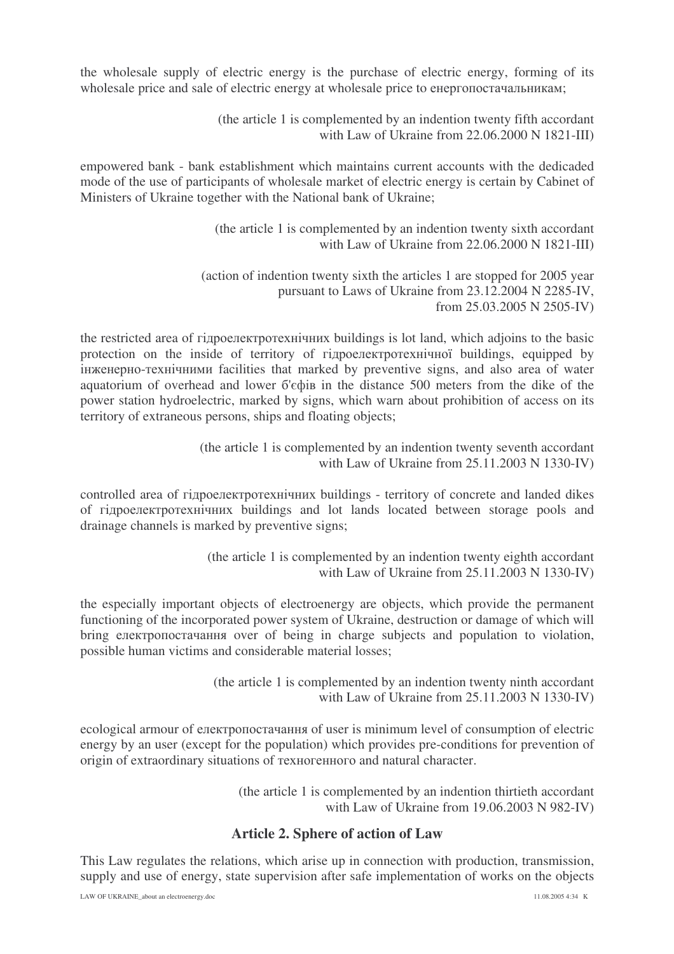the wholesale supply of electric energy is the purchase of electric energy, forming of its wholesale price and sale of electric energy at wholesale price to енергопостачальникам;

> (the article 1 is complemented by an indention twenty fifth accordant with Law of Ukraine from 22.06.2000 N 1821-III)

empowered bank - bank establishment which maintains current accounts with the dedicaded mode of the use of participants of wholesale market of electric energy is certain by Cabinet of Ministers of Ukraine together with the National bank of Ukraine;

> (the article 1 is complemented by an indention twenty sixth accordant with Law of Ukraine from 22.06.2000 N 1821-III)

(action of indention twenty sixth the articles 1 are stopped for 2005 year pursuant to Laws of Ukraine from 23.12.2004 N 2285-IV, from 25.03.2005 N 2505-IV)

the restricted area of гідроелектротехнічних buildings is lot land, which adjoins to the basic protection on the inside of territory of гідроелектротехнічної buildings, equipped by iнженерно-технічними facilities that marked by preventive signs, and also area of water aquatorium of overhead and lower 6'ecoi in the distance 500 meters from the dike of the power station hydroelectric, marked by signs, which warn about prohibition of access on its territory of extraneous persons, ships and floating objects;

> (the article 1 is complemented by an indention twenty seventh accordant with Law of Ukraine from 25.11.2003 N 1330-IV)

controlled area of гідроелектротехнічних buildings - territory of concrete and landed dikes of гідроелектротехнічних buildings and lot lands located between storage pools and drainage channels is marked by preventive signs;

> (the article 1 is complemented by an indention twenty eighth accordant with Law of Ukraine from 25.11.2003 N 1330-IV)

the especially important objects of electroenergy are objects, which provide the permanent functioning of the incorporated power system of Ukraine, destruction or damage of which will bring електропостачання over of being in charge subjects and population to violation, possible human victims and considerable material losses;

> (the article 1 is complemented by an indention twenty ninth accordant with Law of Ukraine from 25.11.2003 N 1330-IV)

ecological armour of електропостачання of user is minimum level of consumption of electric energy by an user (except for the population) which provides pre-conditions for prevention of origin of extraordinary situations of техногенного and natural character.

> (the article 1 is complemented by an indention thirtieth accordant with Law of Ukraine from 19.06.2003 N 982-IV)

#### **Article 2. Sphere of action of Law**

This Law regulates the relations, which arise up in connection with production, transmission, supply and use of energy, state supervision after safe implementation of works on the objects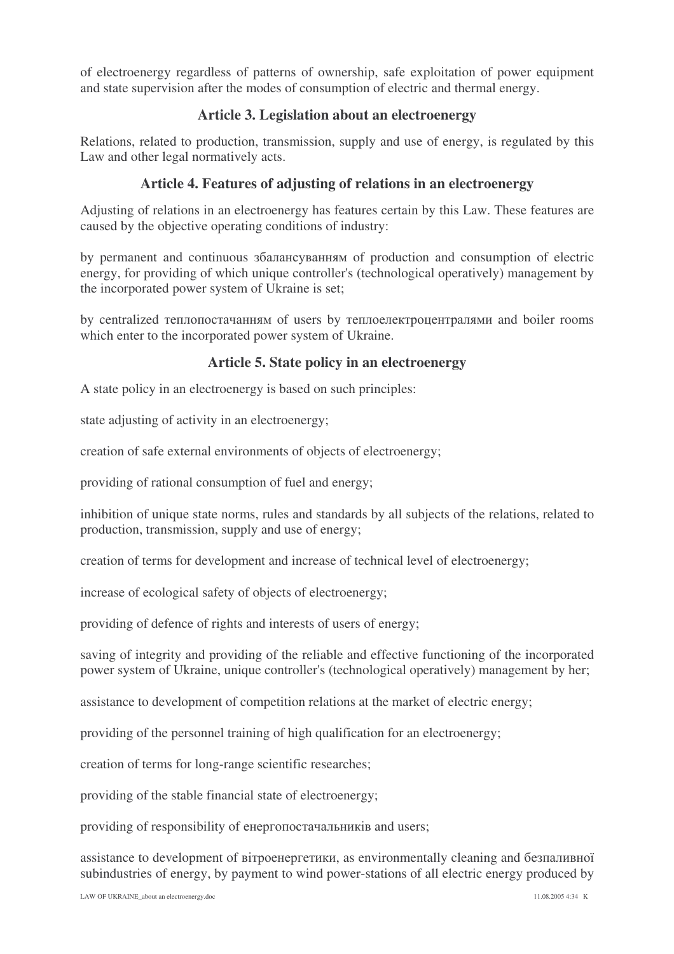of electroenergy regardless of patterns of ownership, safe exploitation of power equipment and state supervision after the modes of consumption of electric and thermal energy.

#### **Article 3. Legislation about an electroenergy**

Relations, related to production, transmission, supply and use of energy, is regulated by this Law and other legal normatively acts.

### **Article 4. Features of adjusting of relations in an electroenergy**

Adjusting of relations in an electroenergy has features certain by this Law. These features are caused by the objective operating conditions of industry:

by permanent and continuous  $36a$ лансуванням of production and consumption of electric energy, for providing of which unique controller's (technological operatively) management by the incorporated power system of Ukraine is set;

by centralized теплопостачанням of users by теплоелектроцентралями and boiler rooms which enter to the incorporated power system of Ukraine.

#### **Article 5. State policy in an electroenergy**

A state policy in an electroenergy is based on such principles:

state adjusting of activity in an electroenergy;

creation of safe external environments of objects of electroenergy;

providing of rational consumption of fuel and energy;

inhibition of unique state norms, rules and standards by all subjects of the relations, related to production, transmission, supply and use of energy;

creation of terms for development and increase of technical level of electroenergy;

increase of ecological safety of objects of electroenergy;

providing of defence of rights and interests of users of energy;

saving of integrity and providing of the reliable and effective functioning of the incorporated power system of Ukraine, unique controller's (technological operatively) management by her;

assistance to development of competition relations at the market of electric energy;

providing of the personnel training of high qualification for an electroenergy;

creation of terms for long-range scientific researches;

providing of the stable financial state of electroenergy;

providing of responsibility of енергопостачальників and users;

assistance to development of вітроенергетики, as environmentally cleaning and безпаливної subindustries of energy, by payment to wind power-stations of all electric energy produced by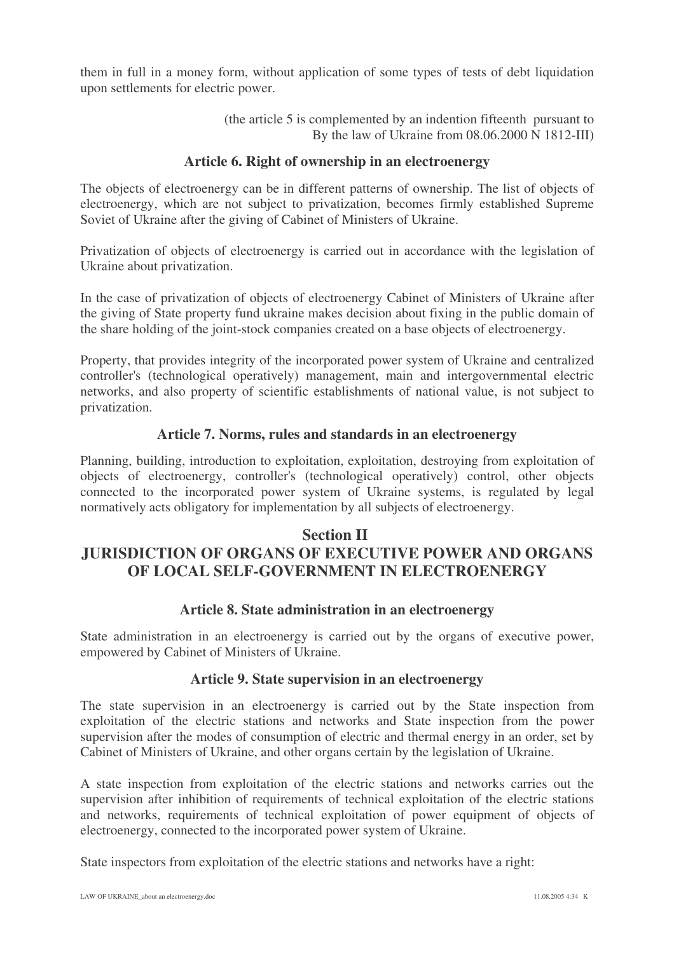them in full in a money form, without application of some types of tests of debt liquidation upon settlements for electric power.

> (the article 5 is complemented by an indention fifteenth pursuant to By the law of Ukraine from 08.06.2000 N 1812-III)

#### **Article 6. Right of ownership in an electroenergy**

The objects of electroenergy can be in different patterns of ownership. The list of objects of electroenergy, which are not subject to privatization, becomes firmly established Supreme Soviet of Ukraine after the giving of Cabinet of Ministers of Ukraine.

Privatization of objects of electroenergy is carried out in accordance with the legislation of Ukraine about privatization.

In the case of privatization of objects of electroenergy Cabinet of Ministers of Ukraine after the giving of State property fund ukraine makes decision about fixing in the public domain of the share holding of the joint-stock companies created on a base objects of electroenergy.

Property, that provides integrity of the incorporated power system of Ukraine and centralized controller's (technological operatively) management, main and intergovernmental electric networks, and also property of scientific establishments of national value, is not subject to privatization.

#### **Article 7. Norms, rules and standards in an electroenergy**

Planning, building, introduction to exploitation, exploitation, destroying from exploitation of objects of electroenergy, controller's (technological operatively) control, other objects connected to the incorporated power system of Ukraine systems, is regulated by legal normatively acts obligatory for implementation by all subjects of electroenergy.

## **Section II JURISDICTION OF ORGANS OF EXECUTIVE POWER AND ORGANS OF LOCAL SELF-GOVERNMENT IN ELECTROENERGY**

#### **Article 8. State administration in an electroenergy**

State administration in an electroenergy is carried out by the organs of executive power, empowered by Cabinet of Ministers of Ukraine.

#### **Article 9. State supervision in an electroenergy**

The state supervision in an electroenergy is carried out by the State inspection from exploitation of the electric stations and networks and State inspection from the power supervision after the modes of consumption of electric and thermal energy in an order, set by Cabinet of Ministers of Ukraine, and other organs certain by the legislation of Ukraine.

A state inspection from exploitation of the electric stations and networks carries out the supervision after inhibition of requirements of technical exploitation of the electric stations and networks, requirements of technical exploitation of power equipment of objects of electroenergy, connected to the incorporated power system of Ukraine.

State inspectors from exploitation of the electric stations and networks have a right: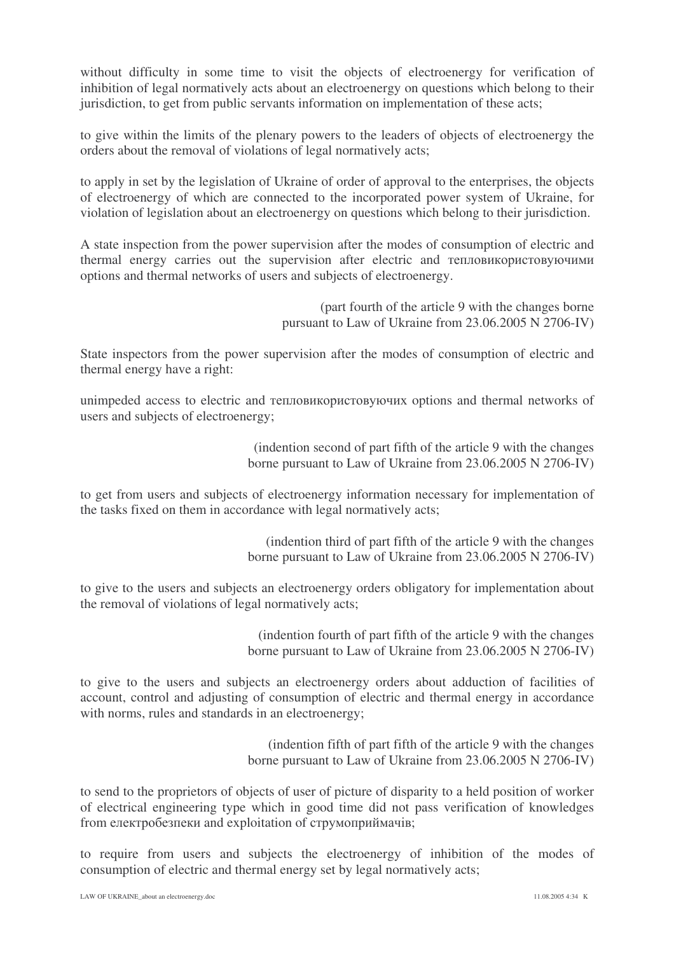without difficulty in some time to visit the objects of electroenergy for verification of inhibition of legal normatively acts about an electroenergy on questions which belong to their jurisdiction, to get from public servants information on implementation of these acts;

to give within the limits of the plenary powers to the leaders of objects of electroenergy the orders about the removal of violations of legal normatively acts;

to apply in set by the legislation of Ukraine of order of approval to the enterprises, the objects of electroenergy of which are connected to the incorporated power system of Ukraine, for violation of legislation about an electroenergy on questions which belong to their jurisdiction.

A state inspection from the power supervision after the modes of consumption of electric and thermal energy carries out the supervision after electric and тепловикористовуючими options and thermal networks of users and subjects of electroenergy.

> (part fourth of the article 9 with the changes borne pursuant to Law of Ukraine from 23.06.2005 N 2706-IV)

State inspectors from the power supervision after the modes of consumption of electric and thermal energy have a right:

unimpeded access to electric and тепловикористовуючих options and thermal networks of users and subjects of electroenergy;

> (indention second of part fifth of the article 9 with the changes borne pursuant to Law of Ukraine from 23.06.2005 N 2706-IV)

to get from users and subjects of electroenergy information necessary for implementation of the tasks fixed on them in accordance with legal normatively acts;

> (indention third of part fifth of the article 9 with the changes borne pursuant to Law of Ukraine from 23.06.2005 N 2706-IV)

to give to the users and subjects an electroenergy orders obligatory for implementation about the removal of violations of legal normatively acts;

> (indention fourth of part fifth of the article 9 with the changes borne pursuant to Law of Ukraine from 23.06.2005 N 2706-IV)

to give to the users and subjects an electroenergy orders about adduction of facilities of account, control and adjusting of consumption of electric and thermal energy in accordance with norms, rules and standards in an electroenergy;

> (indention fifth of part fifth of the article 9 with the changes borne pursuant to Law of Ukraine from 23.06.2005 N 2706-IV)

to send to the proprietors of objects of user of picture of disparity to a held position of worker of electrical engineering type which in good time did not pass verification of knowledges from електробезпеки and exploitation of струмоприймачів;

to require from users and subjects the electroenergy of inhibition of the modes of consumption of electric and thermal energy set by legal normatively acts;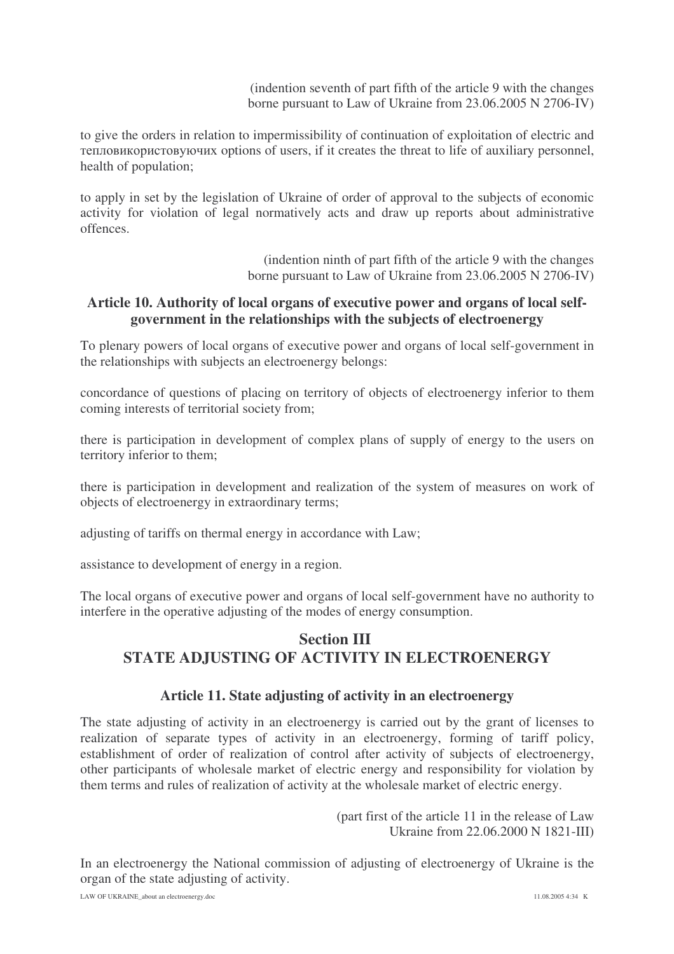(indention seventh of part fifth of the article 9 with the changes borne pursuant to Law of Ukraine from 23.06.2005 N 2706-IV)

to give the orders in relation to impermissibility of continuation of exploitation of electric and тепловикористовуючих options of users, if it creates the threat to life of auxiliary personnel, health of population;

to apply in set by the legislation of Ukraine of order of approval to the subjects of economic activity for violation of legal normatively acts and draw up reports about administrative offences.

> (indention ninth of part fifth of the article 9 with the changes borne pursuant to Law of Ukraine from 23.06.2005 N 2706-IV)

#### **Article 10. Authority of local organs of executive power and organs of local selfgovernment in the relationships with the subjects of electroenergy**

To plenary powers of local organs of executive power and organs of local self-government in the relationships with subjects an electroenergy belongs:

concordance of questions of placing on territory of objects of electroenergy inferior to them coming interests of territorial society from;

there is participation in development of complex plans of supply of energy to the users on territory inferior to them;

there is participation in development and realization of the system of measures on work of objects of electroenergy in extraordinary terms;

adjusting of tariffs on thermal energy in accordance with Law;

assistance to development of energy in a region.

The local organs of executive power and organs of local self-government have no authority to interfere in the operative adjusting of the modes of energy consumption.

## **Section III STATE ADJUSTING OF ACTIVITY IN ELECTROENERGY**

#### **Article 11. State adjusting of activity in an electroenergy**

The state adjusting of activity in an electroenergy is carried out by the grant of licenses to realization of separate types of activity in an electroenergy, forming of tariff policy, establishment of order of realization of control after activity of subjects of electroenergy, other participants of wholesale market of electric energy and responsibility for violation by them terms and rules of realization of activity at the wholesale market of electric energy.

> (part first of the article 11 in the release of Law Ukraine from 22.06.2000 N 1821-III)

In an electroenergy the National commission of adjusting of electroenergy of Ukraine is the organ of the state adjusting of activity.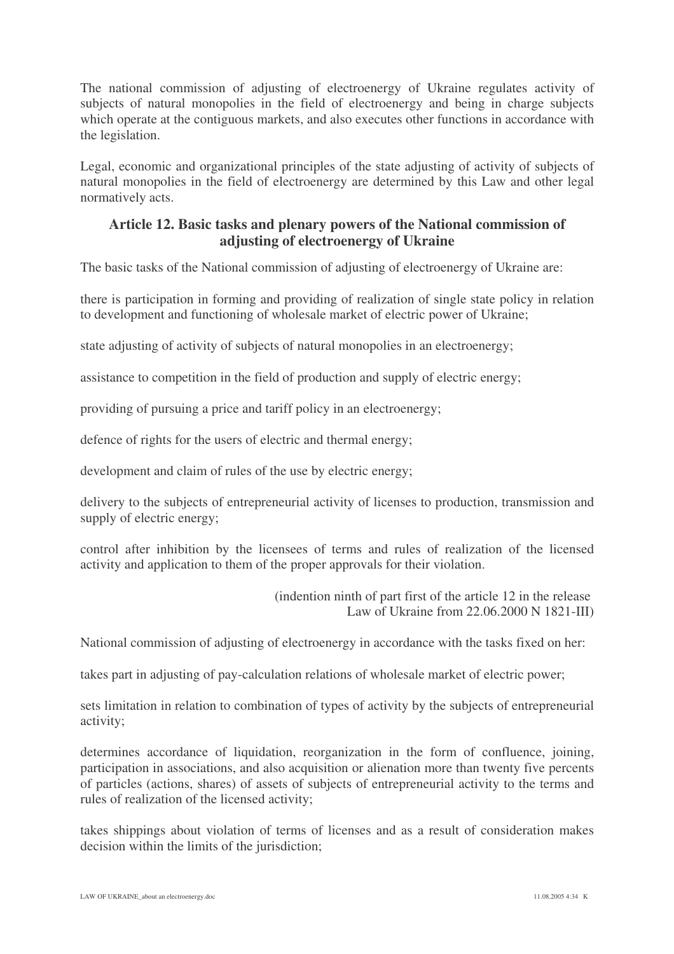The national commission of adjusting of electroenergy of Ukraine regulates activity of subjects of natural monopolies in the field of electroenergy and being in charge subjects which operate at the contiguous markets, and also executes other functions in accordance with the legislation.

Legal, economic and organizational principles of the state adjusting of activity of subjects of natural monopolies in the field of electroenergy are determined by this Law and other legal normatively acts.

### **Article 12. Basic tasks and plenary powers of the National commission of adjusting of electroenergy of Ukraine**

The basic tasks of the National commission of adjusting of electroenergy of Ukraine are:

there is participation in forming and providing of realization of single state policy in relation to development and functioning of wholesale market of electric power of Ukraine;

state adjusting of activity of subjects of natural monopolies in an electroenergy;

assistance to competition in the field of production and supply of electric energy;

providing of pursuing a price and tariff policy in an electroenergy;

defence of rights for the users of electric and thermal energy;

development and claim of rules of the use by electric energy;

delivery to the subjects of entrepreneurial activity of licenses to production, transmission and supply of electric energy;

control after inhibition by the licensees of terms and rules of realization of the licensed activity and application to them of the proper approvals for their violation.

> (indention ninth of part first of the article 12 in the release Law of Ukraine from 22.06.2000 N 1821-III)

National commission of adjusting of electroenergy in accordance with the tasks fixed on her:

takes part in adjusting of pay-calculation relations of wholesale market of electric power;

sets limitation in relation to combination of types of activity by the subjects of entrepreneurial activity;

determines accordance of liquidation, reorganization in the form of confluence, joining, participation in associations, and also acquisition or alienation more than twenty five percents of particles (actions, shares) of assets of subjects of entrepreneurial activity to the terms and rules of realization of the licensed activity;

takes shippings about violation of terms of licenses and as a result of consideration makes decision within the limits of the jurisdiction;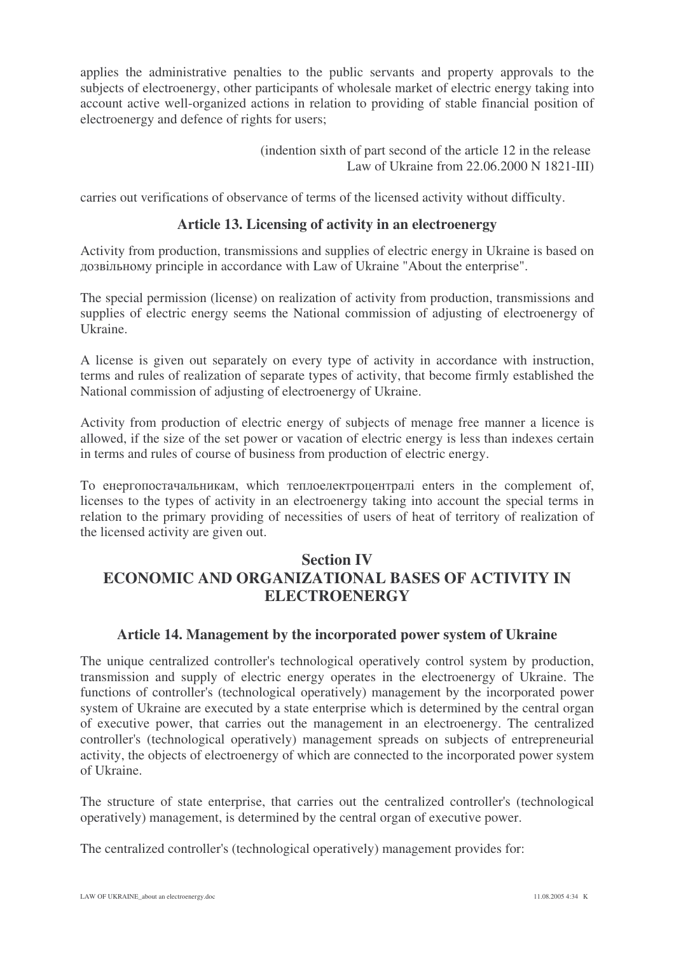applies the administrative penalties to the public servants and property approvals to the subjects of electroenergy, other participants of wholesale market of electric energy taking into account active well-organized actions in relation to providing of stable financial position of electroenergy and defence of rights for users;

> (indention sixth of part second of the article 12 in the release Law of Ukraine from 22.06.2000 N 1821-III)

carries out verifications of observance of terms of the licensed activity without difficulty.

#### **Article 13. Licensing of activity in an electroenergy**

Activity from production, transmissions and supplies of electric energy in Ukraine is based on дозвільному principle in accordance with Law of Ukraine "About the enterprise".

The special permission (license) on realization of activity from production, transmissions and supplies of electric energy seems the National commission of adjusting of electroenergy of Ukraine.

A license is given out separately on every type of activity in accordance with instruction, terms and rules of realization of separate types of activity, that become firmly established the National commission of adjusting of electroenergy of Ukraine.

Activity from production of electric energy of subjects of menage free manner a licence is allowed, if the size of the set power or vacation of electric energy is less than indexes certain in terms and rules of course of business from production of electric energy.

То енергопостачальникам, which теплоелектроцентралі enters in the complement of, licenses to the types of activity in an electroenergy taking into account the special terms in relation to the primary providing of necessities of users of heat of territory of realization of the licensed activity are given out.

## **Section IV ECONOMIC AND ORGANIZATIONAL BASES OF ACTIVITY IN ELECTROENERGY**

#### **Article 14. Management by the incorporated power system of Ukraine**

The unique centralized controller's technological operatively control system by production, transmission and supply of electric energy operates in the electroenergy of Ukraine. The functions of controller's (technological operatively) management by the incorporated power system of Ukraine are executed by a state enterprise which is determined by the central organ of executive power, that carries out the management in an electroenergy. The centralized controller's (technological operatively) management spreads on subjects of entrepreneurial activity, the objects of electroenergy of which are connected to the incorporated power system of Ukraine.

The structure of state enterprise, that carries out the centralized controller's (technological operatively) management, is determined by the central organ of executive power.

The centralized controller's (technological operatively) management provides for: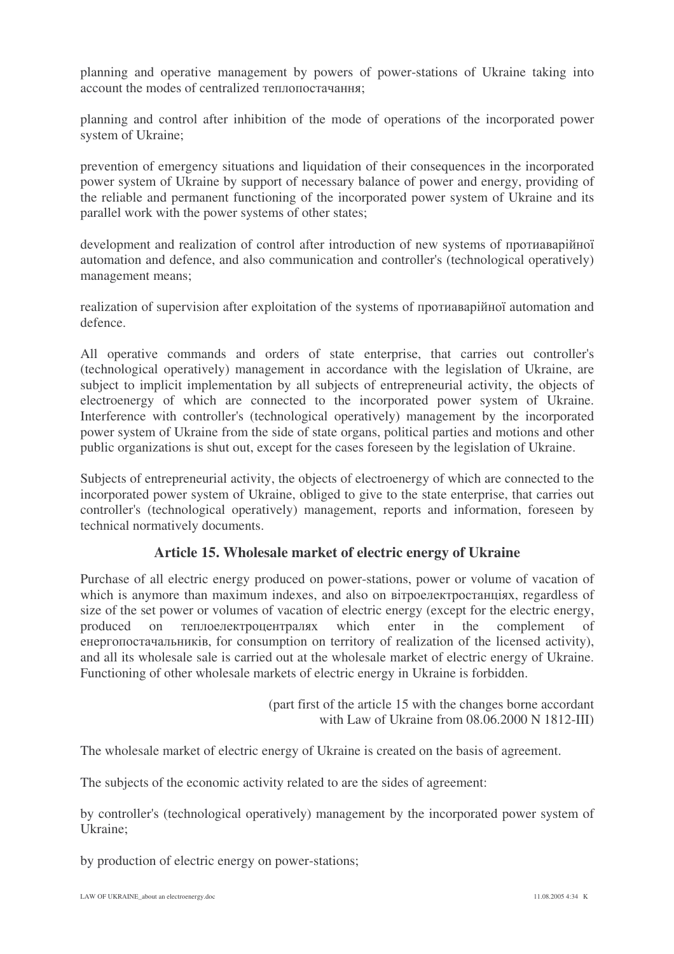planning and operative management by powers of power-stations of Ukraine taking into account the modes of centralized теплопостачання;

planning and control after inhibition of the mode of operations of the incorporated power system of Ukraine;

prevention of emergency situations and liquidation of their consequences in the incorporated power system of Ukraine by support of necessary balance of power and energy, providing of the reliable and permanent functioning of the incorporated power system of Ukraine and its parallel work with the power systems of other states;

development and realization of control after introduction of new systems of протиаварійної automation and defence, and also communication and controller's (technological operatively) management means;

realization of supervision after exploitation of the systems of протиаварійної automation and defence.

All operative commands and orders of state enterprise, that carries out controller's (technological operatively) management in accordance with the legislation of Ukraine, are subject to implicit implementation by all subjects of entrepreneurial activity, the objects of electroenergy of which are connected to the incorporated power system of Ukraine. Interference with controller's (technological operatively) management by the incorporated power system of Ukraine from the side of state organs, political parties and motions and other public organizations is shut out, except for the cases foreseen by the legislation of Ukraine.

Subjects of entrepreneurial activity, the objects of electroenergy of which are connected to the incorporated power system of Ukraine, obliged to give to the state enterprise, that carries out controller's (technological operatively) management, reports and information, foreseen by technical normatively documents.

#### **Article 15. Wholesale market of electric energy of Ukraine**

Purchase of all electric energy produced on power-stations, power or volume of vacation of which is anymore than maximum indexes, and also on вітроелектростанціях, regardless of size of the set power or volumes of vacation of electric energy (except for the electric energy, produced on  which enter in the complement of енергопостачальників, for consumption on territory of realization of the licensed activity), and all its wholesale sale is carried out at the wholesale market of electric energy of Ukraine. Functioning of other wholesale markets of electric energy in Ukraine is forbidden.

> (part first of the article 15 with the changes borne accordant with Law of Ukraine from 08.06.2000 N 1812-III)

The wholesale market of electric energy of Ukraine is created on the basis of agreement.

The subjects of the economic activity related to are the sides of agreement:

by controller's (technological operatively) management by the incorporated power system of Ukraine;

by production of electric energy on power-stations;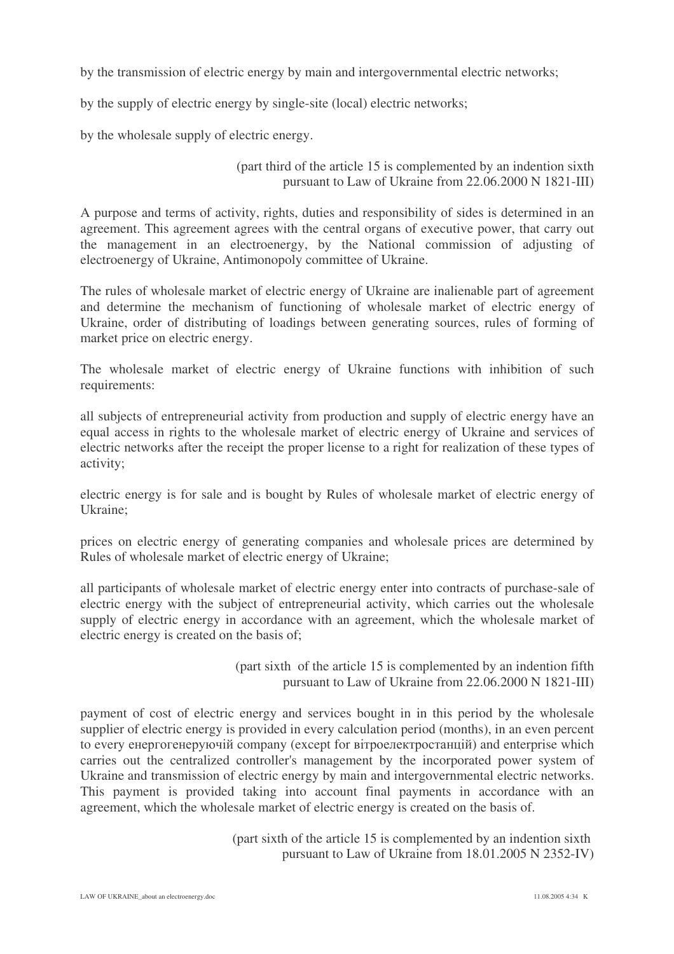by the transmission of electric energy by main and intergovernmental electric networks;

by the supply of electric energy by single-site (local) electric networks;

by the wholesale supply of electric energy.

#### (part third of the article 15 is complemented by an indention sixth pursuant to Law of Ukraine from 22.06.2000 N 1821-III)

A purpose and terms of activity, rights, duties and responsibility of sides is determined in an agreement. This agreement agrees with the central organs of executive power, that carry out the management in an electroenergy, by the National commission of adjusting of electroenergy of Ukraine, Antimonopoly committee of Ukraine.

The rules of wholesale market of electric energy of Ukraine are inalienable part of agreement and determine the mechanism of functioning of wholesale market of electric energy of Ukraine, order of distributing of loadings between generating sources, rules of forming of market price on electric energy.

The wholesale market of electric energy of Ukraine functions with inhibition of such requirements:

all subjects of entrepreneurial activity from production and supply of electric energy have an equal access in rights to the wholesale market of electric energy of Ukraine and services of electric networks after the receipt the proper license to a right for realization of these types of activity;

electric energy is for sale and is bought by Rules of wholesale market of electric energy of Ukraine;

prices on electric energy of generating companies and wholesale prices are determined by Rules of wholesale market of electric energy of Ukraine;

all participants of wholesale market of electric energy enter into contracts of purchase-sale of electric energy with the subject of entrepreneurial activity, which carries out the wholesale supply of electric energy in accordance with an agreement, which the wholesale market of electric energy is created on the basis of;

> (part sixth of the article 15 is complemented by an indention fifth pursuant to Law of Ukraine from 22.06.2000 N 1821-III)

payment of cost of electric energy and services bought in in this period by the wholesale supplier of electric energy is provided in every calculation period (months), in an even percent to every енергогенеруючій company (except for вітроелектростанцій) and enterprise which carries out the centralized controller's management by the incorporated power system of Ukraine and transmission of electric energy by main and intergovernmental electric networks. This payment is provided taking into account final payments in accordance with an agreement, which the wholesale market of electric energy is created on the basis of.

> (part sixth of the article 15 is complemented by an indention sixth pursuant to Law of Ukraine from 18.01.2005 N 2352-IV)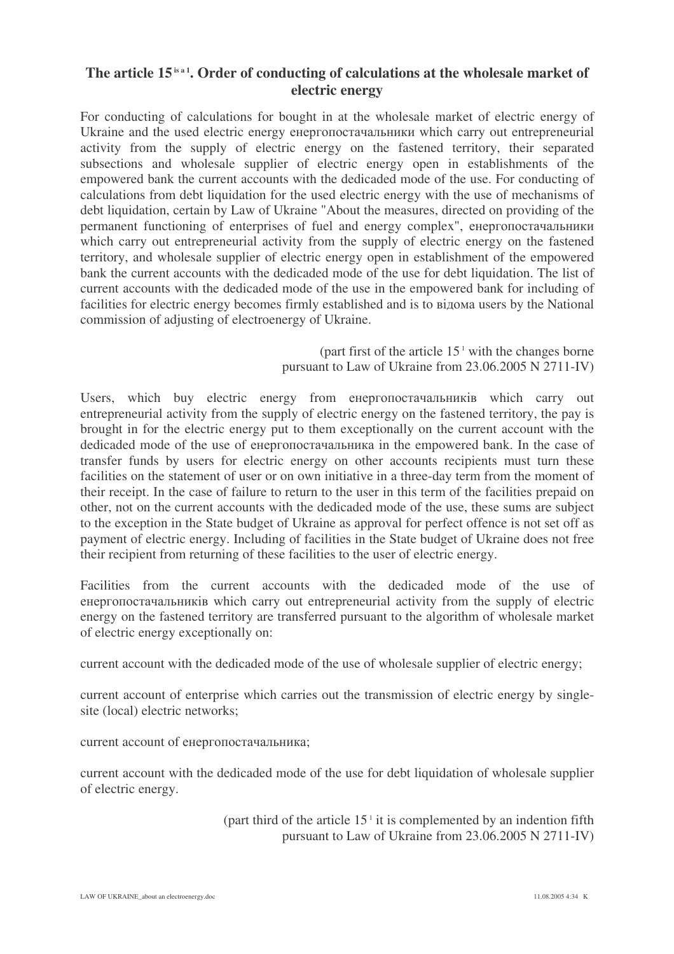#### **The article 15 is a 1 . Order of conducting of calculations at the wholesale market of electric energy**

For conducting of calculations for bought in at the wholesale market of electric energy of Ukraine and the used electric energy енергопостачальники which carry out entrepreneurial activity from the supply of electric energy on the fastened territory, their separated subsections and wholesale supplier of electric energy open in establishments of the empowered bank the current accounts with the dedicaded mode of the use. For conducting of calculations from debt liquidation for the used electric energy with the use of mechanisms of debt liquidation, certain by Law of Ukraine "About the measures, directed on providing of the permanent functioning of enterprises of fuel and energy complex", енергопостачальники which carry out entrepreneurial activity from the supply of electric energy on the fastened territory, and wholesale supplier of electric energy open in establishment of the empowered bank the current accounts with the dedicaded mode of the use for debt liquidation. The list of current accounts with the dedicaded mode of the use in the empowered bank for including of facilities for electric energy becomes firmly established and is to відома users by the National commission of adjusting of electroenergy of Ukraine.

> (part first of the article 15 <sup>1</sup> with the changes borne pursuant to Law of Ukraine from 23.06.2005 N 2711-IV)

Users, which buy electric energy from енергопостачальників which carry out entrepreneurial activity from the supply of electric energy on the fastened territory, the pay is brought in for the electric energy put to them exceptionally on the current account with the dedicaded mode of the use of енергопостачальника in the empowered bank. In the case of transfer funds by users for electric energy on other accounts recipients must turn these facilities on the statement of user or on own initiative in a three-day term from the moment of their receipt. In the case of failure to return to the user in this term of the facilities prepaid on other, not on the current accounts with the dedicaded mode of the use, these sums are subject to the exception in the State budget of Ukraine as approval for perfect offence is not set off as payment of electric energy. Including of facilities in the State budget of Ukraine does not free their recipient from returning of these facilities to the user of electric energy.

Facilities from the current accounts with the dedicaded mode of the use of енергопостачальників which carry out entrepreneurial activity from the supply of electric energy on the fastened territory are transferred pursuant to the algorithm of wholesale market of electric energy exceptionally on:

current account with the dedicaded mode of the use of wholesale supplier of electric energy;

current account of enterprise which carries out the transmission of electric energy by singlesite (local) electric networks;

current account of енергопостачальника;

current account with the dedicaded mode of the use for debt liquidation of wholesale supplier of electric energy.

> (part third of the article  $15<sup>1</sup>$  it is complemented by an indention fifth pursuant to Law of Ukraine from 23.06.2005 N 2711-IV)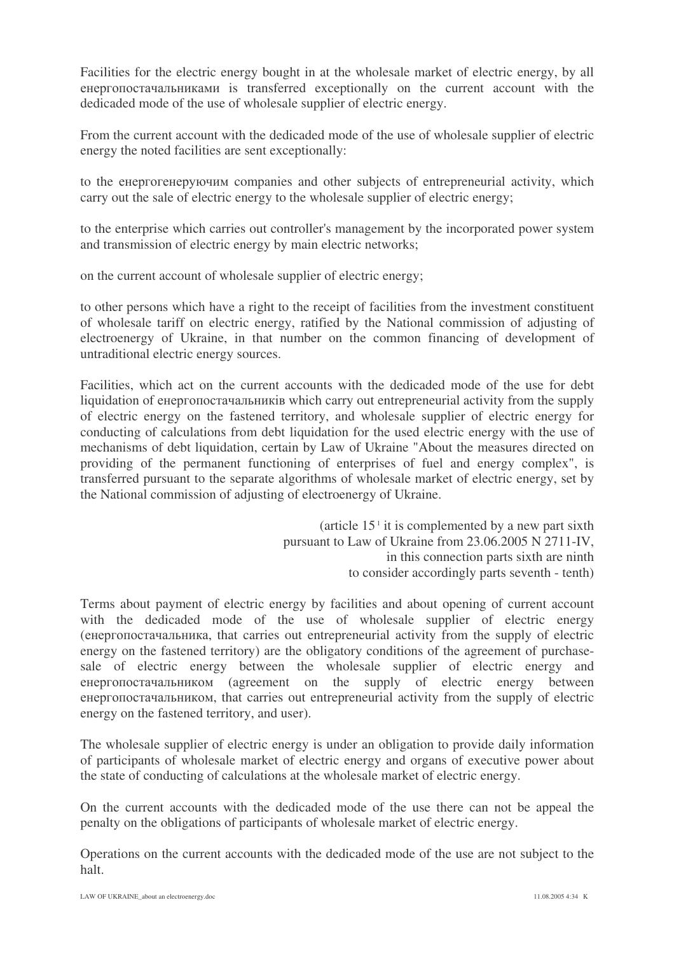Facilities for the electric energy bought in at the wholesale market of electric energy, by all енергопостачальниками is transferred exceptionally on the current account with the dedicaded mode of the use of wholesale supplier of electric energy.

From the current account with the dedicaded mode of the use of wholesale supplier of electric energy the noted facilities are sent exceptionally:

to the енергогенеруючим companies and other subjects of entrepreneurial activity, which carry out the sale of electric energy to the wholesale supplier of electric energy;

to the enterprise which carries out controller's management by the incorporated power system and transmission of electric energy by main electric networks;

on the current account of wholesale supplier of electric energy;

to other persons which have a right to the receipt of facilities from the investment constituent of wholesale tariff on electric energy, ratified by the National commission of adjusting of electroenergy of Ukraine, in that number on the common financing of development of untraditional electric energy sources.

Facilities, which act on the current accounts with the dedicaded mode of the use for debt liquidation of енергопостачальників which carry out entrepreneurial activity from the supply of electric energy on the fastened territory, and wholesale supplier of electric energy for conducting of calculations from debt liquidation for the used electric energy with the use of mechanisms of debt liquidation, certain by Law of Ukraine "About the measures directed on providing of the permanent functioning of enterprises of fuel and energy complex", is transferred pursuant to the separate algorithms of wholesale market of electric energy, set by the National commission of adjusting of electroenergy of Ukraine.

> (article 15 1 it is complemented by a new part sixth pursuant to Law of Ukraine from 23.06.2005 N 2711-IV, in this connection parts sixth are ninth to consider accordingly parts seventh - tenth)

Terms about payment of electric energy by facilities and about opening of current account with the dedicaded mode of the use of wholesale supplier of electric energy (енергопостачальника, that carries out entrepreneurial activity from the supply of electric energy on the fastened territory) are the obligatory conditions of the agreement of purchasesale of electric energy between the wholesale supplier of electric energy and енергопостачальником (agreement on the supply of electric energy between енергопостачальником, that carries out entrepreneurial activity from the supply of electric energy on the fastened territory, and user).

The wholesale supplier of electric energy is under an obligation to provide daily information of participants of wholesale market of electric energy and organs of executive power about the state of conducting of calculations at the wholesale market of electric energy.

On the current accounts with the dedicaded mode of the use there can not be appeal the penalty on the obligations of participants of wholesale market of electric energy.

Operations on the current accounts with the dedicaded mode of the use are not subject to the halt.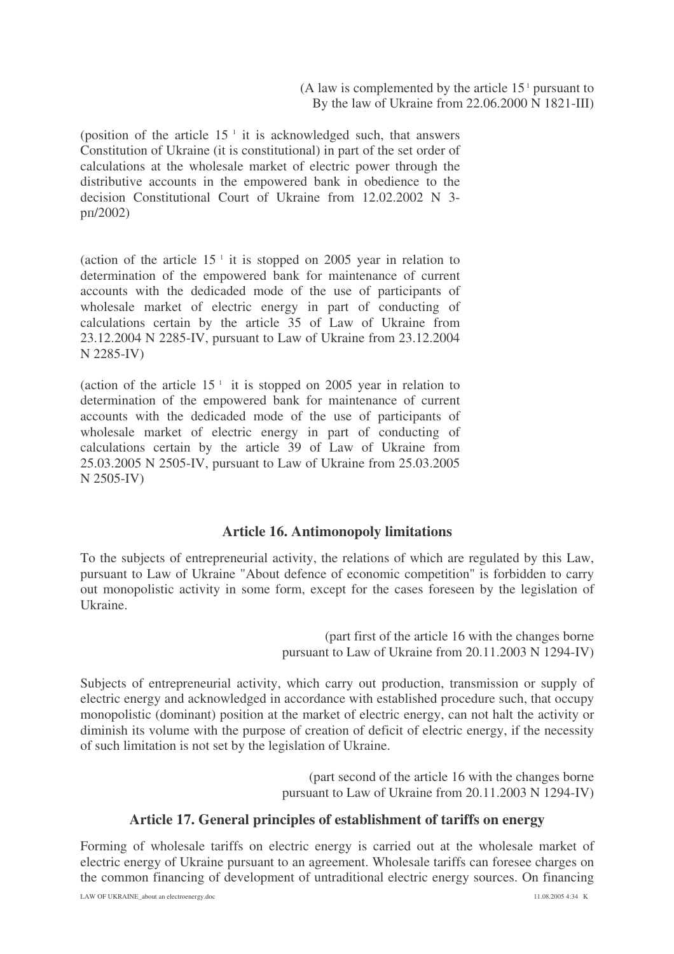(position of the article 15 1 it is acknowledged such, that answers Constitution of Ukraine (it is constitutional) in part of the set order of calculations at the wholesale market of electric power through the distributive accounts in the empowered bank in obedience to the decision Constitutional Court of Ukraine from 12.02.2002 N 3 p<sub>II</sub>/2002)

(action of the article  $15<sup>-1</sup>$  it is stopped on 2005 year in relation to determination of the empowered bank for maintenance of current accounts with the dedicaded mode of the use of participants of wholesale market of electric energy in part of conducting of calculations certain by the article 35 of Law of Ukraine from 23.12.2004 N 2285-IV, pursuant to Law of Ukraine from 23.12.2004 N 2285-IV)

(action of the article  $15<sup>-1</sup>$  it is stopped on 2005 year in relation to determination of the empowered bank for maintenance of current accounts with the dedicaded mode of the use of participants of wholesale market of electric energy in part of conducting of calculations certain by the article 39 of Law of Ukraine from 25.03.2005 N 2505-IV, pursuant to Law of Ukraine from 25.03.2005 N 2505-IV)

#### **Article 16. Antimonopoly limitations**

To the subjects of entrepreneurial activity, the relations of which are regulated by this Law, pursuant to Law of Ukraine "About defence of economic competition" is forbidden to carry out monopolistic activity in some form, except for the cases foreseen by the legislation of Ukraine.

> (part first of the article 16 with the changes borne pursuant to Law of Ukraine from 20.11.2003 N 1294-IV)

Subjects of entrepreneurial activity, which carry out production, transmission or supply of electric energy and acknowledged in accordance with established procedure such, that occupy monopolistic (dominant) position at the market of electric energy, can not halt the activity or diminish its volume with the purpose of creation of deficit of electric energy, if the necessity of such limitation is not set by the legislation of Ukraine.

> (part second of the article 16 with the changes borne pursuant to Law of Ukraine from 20.11.2003 N 1294-IV)

#### **Article 17. General principles of establishment of tariffs on energy**

Forming of wholesale tariffs on electric energy is carried out at the wholesale market of electric energy of Ukraine pursuant to an agreement. Wholesale tariffs can foresee charges on the common financing of development of untraditional electric energy sources. On financing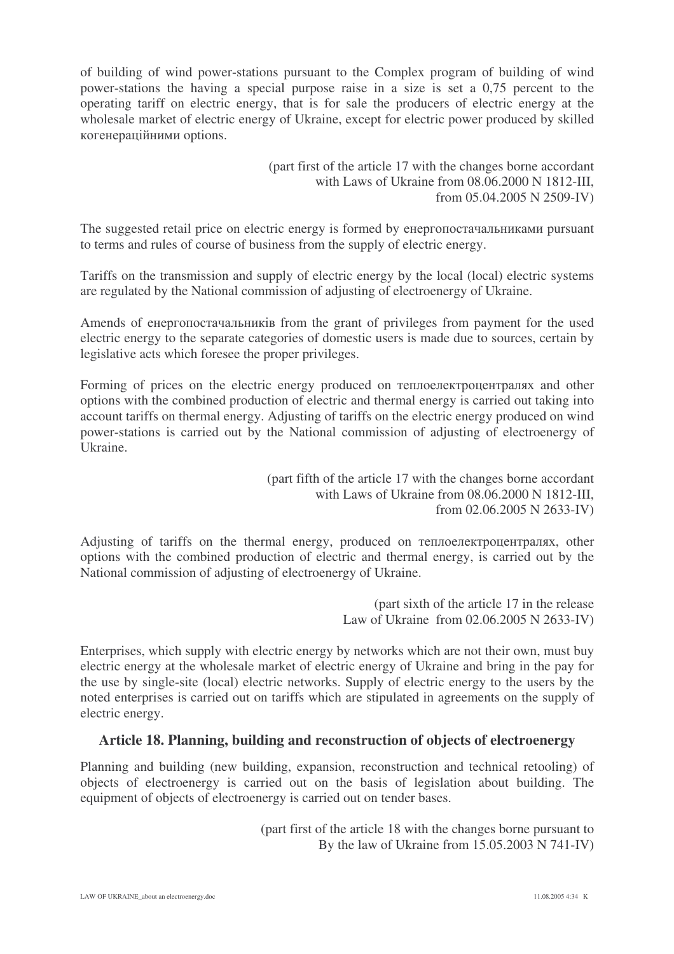of building of wind power-stations pursuant to the Complex program of building of wind power-stations the having a special purpose raise in a size is set a 0,75 percent to the operating tariff on electric energy, that is for sale the producers of electric energy at the wholesale market of electric energy of Ukraine, except for electric power produced by skilled когенераційними options.

> (part first of the article 17 with the changes borne accordant with Laws of Ukraine from 08.06.2000 N 1812-III, from 05.04.2005 N 2509-IV)

The suggested retail price on electric energy is formed by енергопостачальниками pursuant to terms and rules of course of business from the supply of electric energy.

Tariffs on the transmission and supply of electric energy by the local (local) electric systems are regulated by the National commission of adjusting of electroenergy of Ukraine.

Amends of енергопостачальників from the grant of privileges from payment for the used electric energy to the separate categories of domestic users is made due to sources, certain by legislative acts which foresee the proper privileges.

Forming of prices on the electric energy produced on теплоелектроцентралях and other options with the combined production of electric and thermal energy is carried out taking into account tariffs on thermal energy. Adjusting of tariffs on the electric energy produced on wind power-stations is carried out by the National commission of adjusting of electroenergy of Ukraine.

> (part fifth of the article 17 with the changes borne accordant with Laws of Ukraine from 08.06.2000 N 1812-III, from 02.06.2005 N 2633-IV)

Adjusting of tariffs on the thermal energy, produced on теплоелектроцентралях, other options with the combined production of electric and thermal energy, is carried out by the National commission of adjusting of electroenergy of Ukraine.

> (part sixth of the article 17 in the release Law of Ukraine from 02.06.2005 N 2633-IV)

Enterprises, which supply with electric energy by networks which are not their own, must buy electric energy at the wholesale market of electric energy of Ukraine and bring in the pay for the use by single-site (local) electric networks. Supply of electric energy to the users by the noted enterprises is carried out on tariffs which are stipulated in agreements on the supply of electric energy.

#### **Article 18. Planning, building and reconstruction of objects of electroenergy**

Planning and building (new building, expansion, reconstruction and technical retooling) of objects of electroenergy is carried out on the basis of legislation about building. The equipment of objects of electroenergy is carried out on tender bases.

> (part first of the article 18 with the changes borne pursuant to By the law of Ukraine from 15.05.2003 N 741-IV)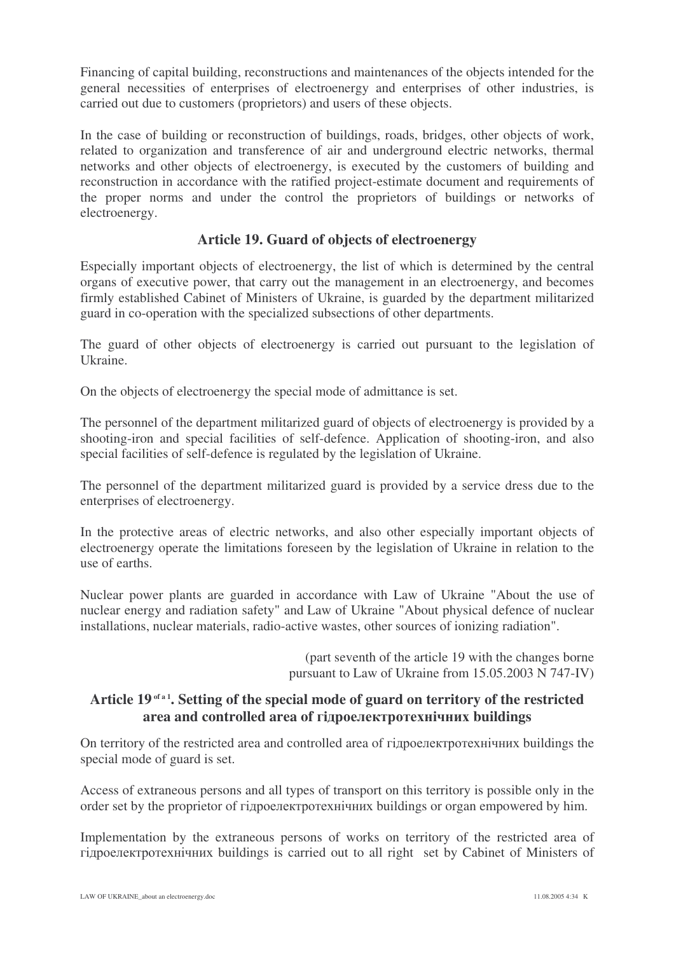Financing of capital building, reconstructions and maintenances of the objects intended for the general necessities of enterprises of electroenergy and enterprises of other industries, is carried out due to customers (proprietors) and users of these objects.

In the case of building or reconstruction of buildings, roads, bridges, other objects of work, related to organization and transference of air and underground electric networks, thermal networks and other objects of electroenergy, is executed by the customers of building and reconstruction in accordance with the ratified project-estimate document and requirements of the proper norms and under the control the proprietors of buildings or networks of electroenergy.

#### **Article 19. Guard of objects of electroenergy**

Especially important objects of electroenergy, the list of which is determined by the central organs of executive power, that carry out the management in an electroenergy, and becomes firmly established Cabinet of Ministers of Ukraine, is guarded by the department militarized guard in co-operation with the specialized subsections of other departments.

The guard of other objects of electroenergy is carried out pursuant to the legislation of Ukraine.

On the objects of electroenergy the special mode of admittance is set.

The personnel of the department militarized guard of objects of electroenergy is provided by a shooting-iron and special facilities of self-defence. Application of shooting-iron, and also special facilities of self-defence is regulated by the legislation of Ukraine.

The personnel of the department militarized guard is provided by a service dress due to the enterprises of electroenergy.

In the protective areas of electric networks, and also other especially important objects of electroenergy operate the limitations foreseen by the legislation of Ukraine in relation to the use of earths.

Nuclear power plants are guarded in accordance with Law of Ukraine "About the use of nuclear energy and radiation safety" and Law of Ukraine "About physical defence of nuclear installations, nuclear materials, radio-active wastes, other sources of ionizing radiation".

> (part seventh of the article 19 with the changes borne pursuant to Law of Ukraine from 15.05.2003 N 747-IV)

## **Article 19 of a 1 . Setting of the special mode of guard on territory of the restricted**  $\boldsymbol{\alpha}$  and controlled area of гідроелектротехнічних buildings

On territory of the restricted area and controlled area of гідроелектротехнічних buildings the special mode of guard is set.

Access of extraneous persons and all types of transport on this territory is possible only in the order set by the proprietor of гідроелектротехнічних buildings or organ empowered by him.

Implementation by the extraneous persons of works on territory of the restricted area of гідроелектротехнічних buildings is carried out to all right set by Cabinet of Ministers of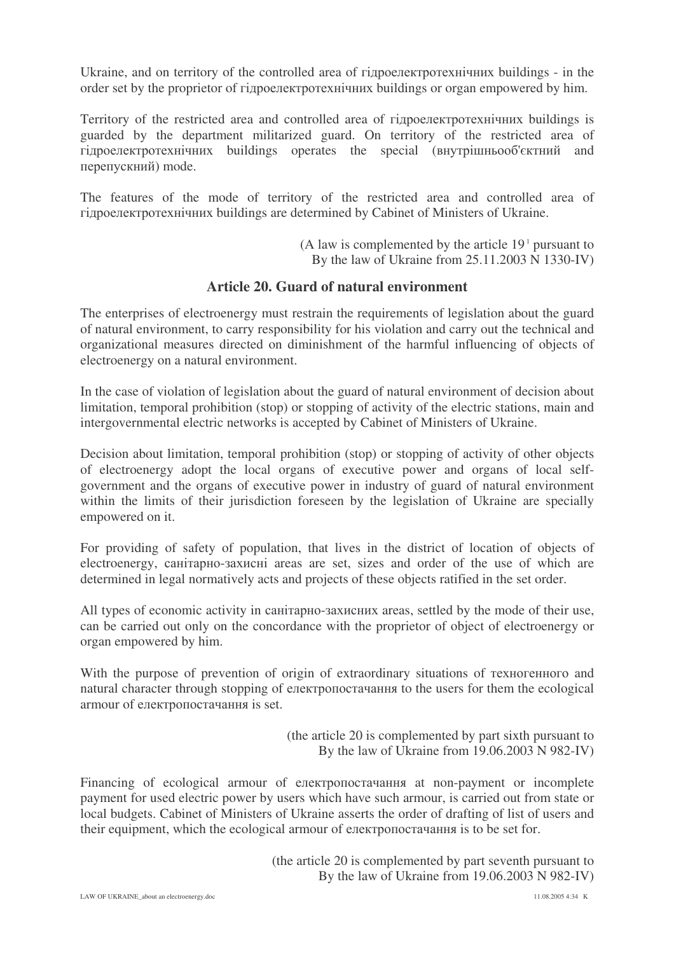Ukraine, and on territory of the controlled area of гідроелектротехнічних buildings - in the order set by the proprietor of гідроелектротехнічних buildings or organ empowered by him.

Territory of the restricted area and controlled area of гідроелектротехнічних buildings is guarded by the department militarized guard. On territory of the restricted area of гідроелектротехнічних buildings operates the special (внутрішньооб'єктний and перепускний) mode.

The features of the mode of territory of the restricted area and controlled area of гідроелектротехнічних buildings are determined by Cabinet of Ministers of Ukraine.

> (A law is complemented by the article 19 <sup>1</sup> pursuant to By the law of Ukraine from 25.11.2003 N 1330-IV)

#### **Article 20. Guard of natural environment**

The enterprises of electroenergy must restrain the requirements of legislation about the guard of natural environment, to carry responsibility for his violation and carry out the technical and organizational measures directed on diminishment of the harmful influencing of objects of electroenergy on a natural environment.

In the case of violation of legislation about the guard of natural environment of decision about limitation, temporal prohibition (stop) or stopping of activity of the electric stations, main and intergovernmental electric networks is accepted by Cabinet of Ministers of Ukraine.

Decision about limitation, temporal prohibition (stop) or stopping of activity of other objects of electroenergy adopt the local organs of executive power and organs of local selfgovernment and the organs of executive power in industry of guard of natural environment within the limits of their jurisdiction foreseen by the legislation of Ukraine are specially empowered on it.

For providing of safety of population, that lives in the district of location of objects of electroenergy, санітарно-захисні areas are set, sizes and order of the use of which are determined in legal normatively acts and projects of these objects ratified in the set order.

All types of economic activity in санітарно-захисних areas, settled by the mode of their use, can be carried out only on the concordance with the proprietor of object of electroenergy or organ empowered by him.

With the purpose of prevention of origin of extraordinary situations of техногенного and natural character through stopping of електропостачання to the users for them the ecological armour of електропостачання is set.

> (the article 20 is complemented by part sixth pursuant to By the law of Ukraine from 19.06.2003 N 982-IV)

Financing of ecological armour of електропостачання at non-payment or incomplete payment for used electric power by users which have such armour, is carried out from state or local budgets. Cabinet of Ministers of Ukraine asserts the order of drafting of list of users and their equipment, which the ecological armour of електропостачання is to be set for.

> (the article 20 is complemented by part seventh pursuant to By the law of Ukraine from 19.06.2003 N 982-IV)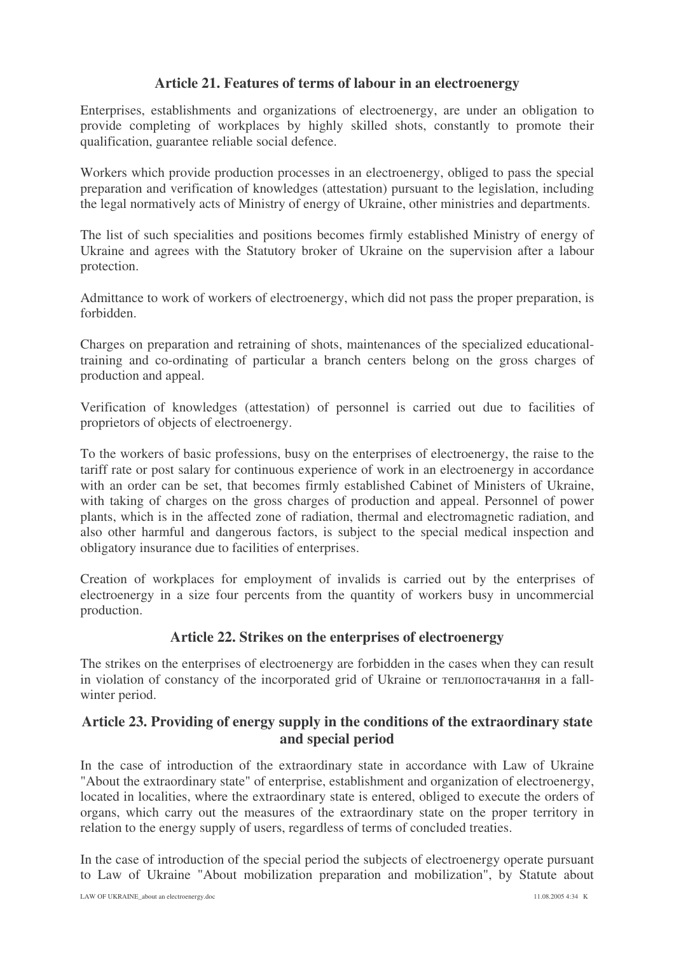#### **Article 21. Features of terms of labour in an electroenergy**

Enterprises, establishments and organizations of electroenergy, are under an obligation to provide completing of workplaces by highly skilled shots, constantly to promote their qualification, guarantee reliable social defence.

Workers which provide production processes in an electroenergy, obliged to pass the special preparation and verification of knowledges (attestation) pursuant to the legislation, including the legal normatively acts of Ministry of energy of Ukraine, other ministries and departments.

The list of such specialities and positions becomes firmly established Ministry of energy of Ukraine and agrees with the Statutory broker of Ukraine on the supervision after a labour protection.

Admittance to work of workers of electroenergy, which did not pass the proper preparation, is forbidden.

Charges on preparation and retraining of shots, maintenances of the specialized educationaltraining and co-ordinating of particular a branch centers belong on the gross charges of production and appeal.

Verification of knowledges (attestation) of personnel is carried out due to facilities of proprietors of objects of electroenergy.

To the workers of basic professions, busy on the enterprises of electroenergy, the raise to the tariff rate or post salary for continuous experience of work in an electroenergy in accordance with an order can be set, that becomes firmly established Cabinet of Ministers of Ukraine, with taking of charges on the gross charges of production and appeal. Personnel of power plants, which is in the affected zone of radiation, thermal and electromagnetic radiation, and also other harmful and dangerous factors, is subject to the special medical inspection and obligatory insurance due to facilities of enterprises.

Creation of workplaces for employment of invalids is carried out by the enterprises of electroenergy in a size four percents from the quantity of workers busy in uncommercial production.

#### **Article 22. Strikes on the enterprises of electroenergy**

The strikes on the enterprises of electroenergy are forbidden in the cases when they can result in violation of constancy of the incorporated grid of Ukraine or теплопостачання in a fallwinter period.

#### **Article 23. Providing of energy supply in the conditions of the extraordinary state and special period**

In the case of introduction of the extraordinary state in accordance with Law of Ukraine "About the extraordinary state" of enterprise, establishment and organization of electroenergy, located in localities, where the extraordinary state is entered, obliged to execute the orders of organs, which carry out the measures of the extraordinary state on the proper territory in relation to the energy supply of users, regardless of terms of concluded treaties.

In the case of introduction of the special period the subjects of electroenergy operate pursuant to Law of Ukraine "About mobilization preparation and mobilization", by Statute about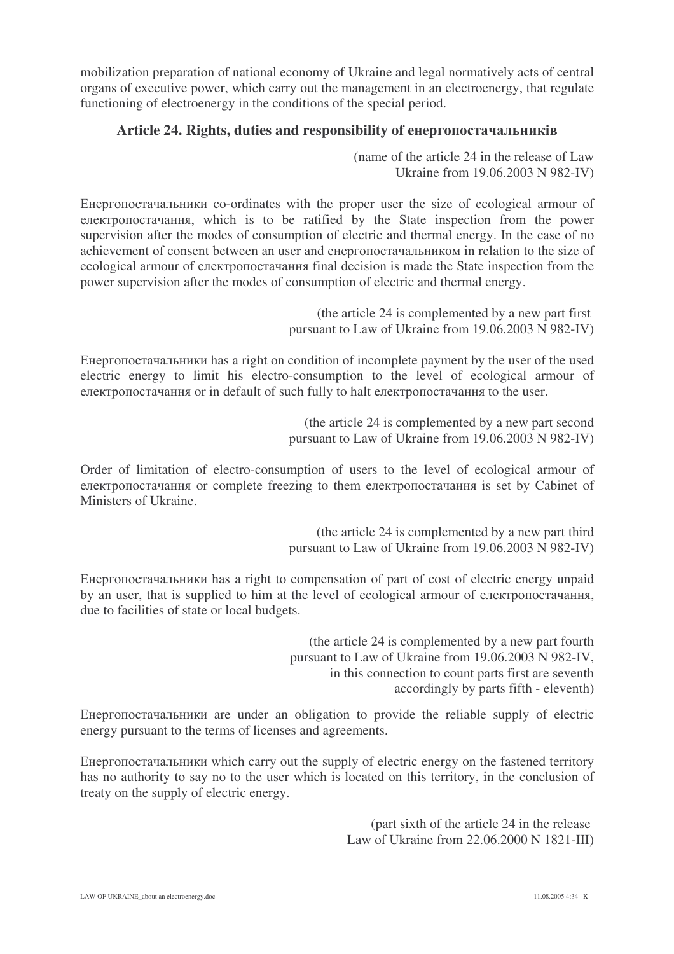mobilization preparation of national economy of Ukraine and legal normatively acts of central organs of executive power, which carry out the management in an electroenergy, that regulate functioning of electroenergy in the conditions of the special period.

## **Article 24. Rights, duties and responsibility of** 
-

(name of the article 24 in the release of Law Ukraine from 19.06.2003 N 982-IV)

Енергопостачальники co-ordinates with the proper user the size of ecological armour of електропостачання, which is to be ratified by the State inspection from the power supervision after the modes of consumption of electric and thermal energy. In the case of no achievement of consent between an user and енергопостачальником in relation to the size of ecological armour of електропостачання final decision is made the State inspection from the power supervision after the modes of consumption of electric and thermal energy.

> (the article 24 is complemented by a new part first pursuant to Law of Ukraine from 19.06.2003 N 982-IV)

Енергопостачальники has a right on condition of incomplete payment by the user of the used electric energy to limit his electro-consumption to the level of ecological armour of електропостачання or in default of such fully to halt електропостачання to the user.

> (the article 24 is complemented by a new part second pursuant to Law of Ukraine from 19.06.2003 N 982-IV)

Order of limitation of electro-consumption of users to the level of ecological armour of електропостачання or complete freezing to them електропостачання is set by Cabinet of Ministers of Ukraine.

> (the article 24 is complemented by a new part third pursuant to Law of Ukraine from 19.06.2003 N 982-IV)

Енергопостачальники has a right to compensation of part of cost of electric energy unpaid by an user, that is supplied to him at the level of ecological armour of електропостачання, due to facilities of state or local budgets.

> (the article 24 is complemented by a new part fourth pursuant to Law of Ukraine from 19.06.2003 N 982-IV, in this connection to count parts first are seventh accordingly by parts fifth - eleventh)

Енергопостачальники are under an obligation to provide the reliable supply of electric energy pursuant to the terms of licenses and agreements.

Енергопостачальники which carry out the supply of electric energy on the fastened territory has no authority to say no to the user which is located on this territory, in the conclusion of treaty on the supply of electric energy.

> (part sixth of the article 24 in the release Law of Ukraine from 22.06.2000 N 1821-III)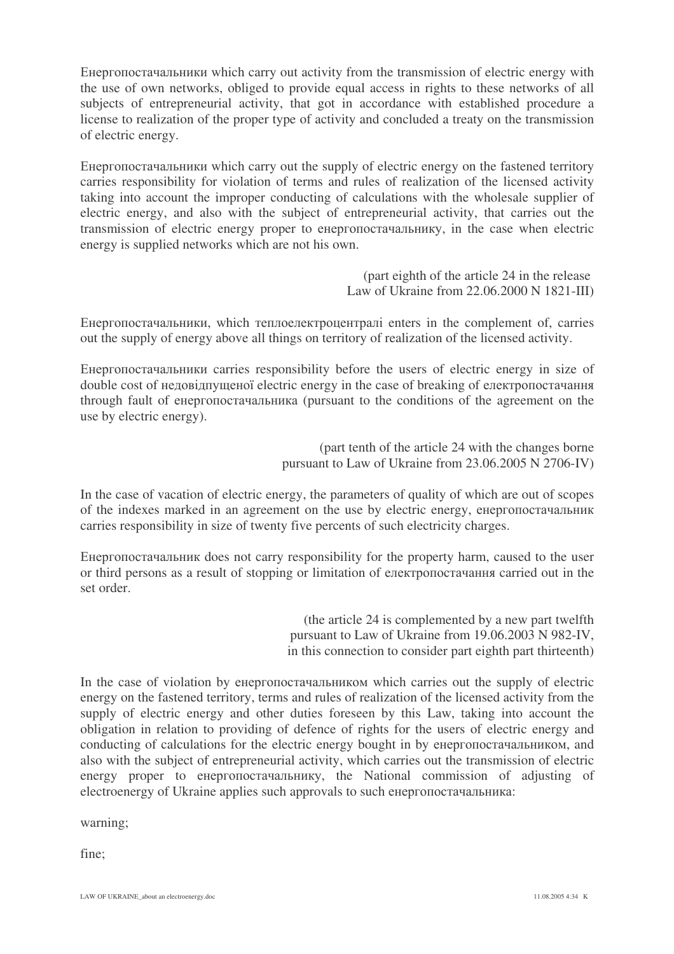Енергопостачальники which carry out activity from the transmission of electric energy with the use of own networks, obliged to provide equal access in rights to these networks of all subjects of entrepreneurial activity, that got in accordance with established procedure a license to realization of the proper type of activity and concluded a treaty on the transmission of electric energy.

Енергопостачальники which carry out the supply of electric energy on the fastened territory carries responsibility for violation of terms and rules of realization of the licensed activity taking into account the improper conducting of calculations with the wholesale supplier of electric energy, and also with the subject of entrepreneurial activity, that carries out the transmission of electric energy proper to енергопостачальнику, in the case when electric energy is supplied networks which are not his own.

> (part eighth of the article 24 in the release Law of Ukraine from 22.06.2000 N 1821-III)

Енергопостачальники, which теплоелектроцентралі enters in the complement of, carries out the supply of energy above all things on territory of realization of the licensed activity.

Енергопостачальники carries responsibility before the users of electric energy in size of double cost of недовідпущеної electric energy in the case of breaking of електропостачання through fault of енергопостачальника (pursuant to the conditions of the agreement on the use by electric energy).

> (part tenth of the article 24 with the changes borne pursuant to Law of Ukraine from 23.06.2005 N 2706-IV)

In the case of vacation of electric energy, the parameters of quality of which are out of scopes of the indexes marked in an agreement on the use by electric energy, енергопостачальник carries responsibility in size of twenty five percents of such electricity charges.

Енергопостачальник does not carry responsibility for the property harm, caused to the user or third persons as a result of stopping or limitation of електропостачання carried out in the set order.

> (the article 24 is complemented by a new part twelfth pursuant to Law of Ukraine from 19.06.2003 N 982-IV, in this connection to consider part eighth part thirteenth)

In the case of violation by енергопостачальником which carries out the supply of electric energy on the fastened territory, terms and rules of realization of the licensed activity from the supply of electric energy and other duties foreseen by this Law, taking into account the obligation in relation to providing of defence of rights for the users of electric energy and conducting of calculations for the electric energy bought in by енергопостачальником, and also with the subject of entrepreneurial activity, which carries out the transmission of electric energy proper to енергопостачальнику, the National commission of adjusting of electroenergy of Ukraine applies such approvals to such енергопостачальника:

warning;

fine;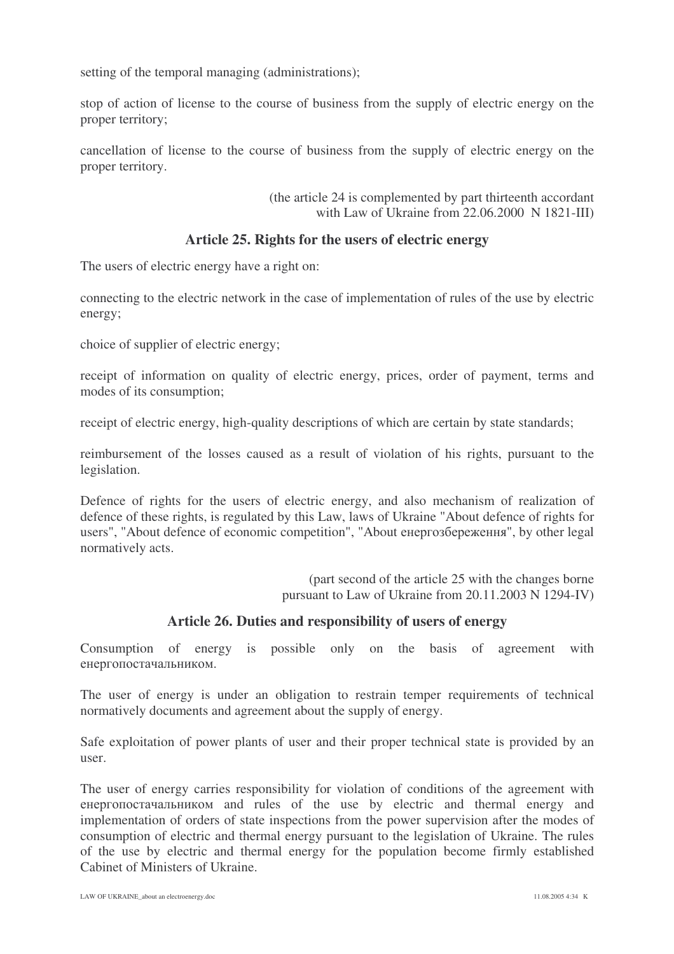setting of the temporal managing (administrations);

stop of action of license to the course of business from the supply of electric energy on the proper territory;

cancellation of license to the course of business from the supply of electric energy on the proper territory.

> (the article 24 is complemented by part thirteenth accordant with Law of Ukraine from 22.06.2000 N 1821-III)

#### **Article 25. Rights for the users of electric energy**

The users of electric energy have a right on:

connecting to the electric network in the case of implementation of rules of the use by electric energy;

choice of supplier of electric energy;

receipt of information on quality of electric energy, prices, order of payment, terms and modes of its consumption;

receipt of electric energy, high-quality descriptions of which are certain by state standards;

reimbursement of the losses caused as a result of violation of his rights, pursuant to the legislation.

Defence of rights for the users of electric energy, and also mechanism of realization of defence of these rights, is regulated by this Law, laws of Ukraine "About defence of rights for users", "About defence of economic competition", "About енергозбереження", by other legal normatively acts.

> (part second of the article 25 with the changes borne pursuant to Law of Ukraine from 20.11.2003 N 1294-IV)

#### **Article 26. Duties and responsibility of users of energy**

Consumption of energy is possible only on the basis of agreement with енергопостачальником.

The user of energy is under an obligation to restrain temper requirements of technical normatively documents and agreement about the supply of energy.

Safe exploitation of power plants of user and their proper technical state is provided by an user.

The user of energy carries responsibility for violation of conditions of the agreement with енергопостачальником and rules of the use by electric and thermal energy and implementation of orders of state inspections from the power supervision after the modes of consumption of electric and thermal energy pursuant to the legislation of Ukraine. The rules of the use by electric and thermal energy for the population become firmly established Cabinet of Ministers of Ukraine.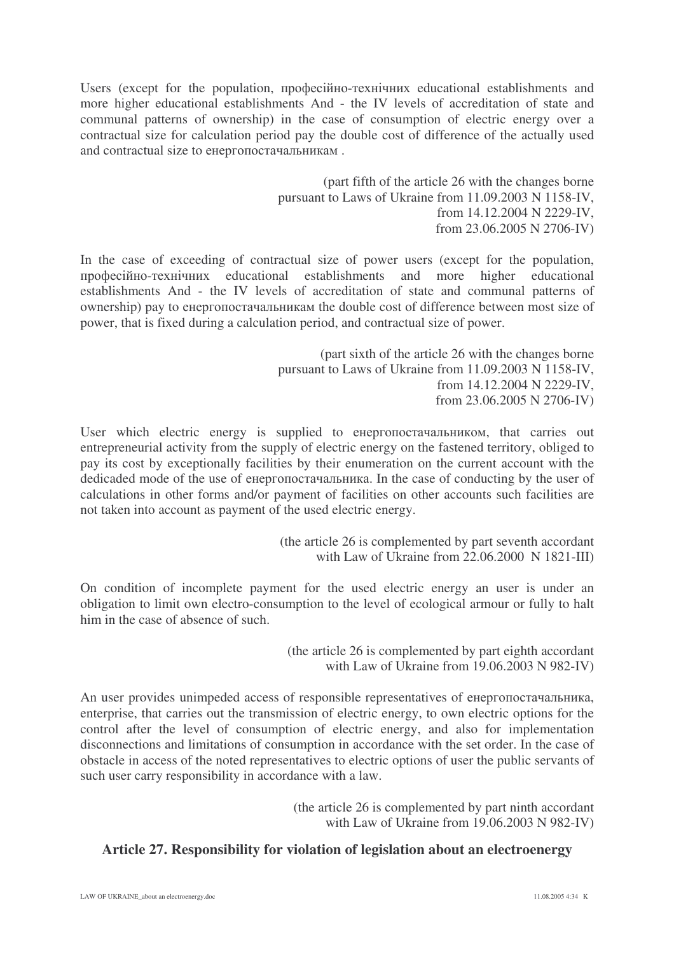Users (except for the population, професійно-технічних educational establishments and more higher educational establishments And - the IV levels of accreditation of state and communal patterns of ownership) in the case of consumption of electric energy over a contractual size for calculation period pay the double cost of difference of the actually used and contractual size to енергопостачальникам.

> (part fifth of the article 26 with the changes borne pursuant to Laws of Ukraine from 11.09.2003 N 1158-IV, from 14.12.2004 N 2229-IV, from 23.06.2005 N 2706-IV)

In the case of exceeding of contractual size of power users (except for the population, професійно-техніч establishments and more higher educational establishments And - the IV levels of accreditation of state and communal patterns of ownership) pay to енергопостачальникам the double cost of difference between most size of power, that is fixed during a calculation period, and contractual size of power.

> (part sixth of the article 26 with the changes borne pursuant to Laws of Ukraine from 11.09.2003 N 1158-IV, from 14.12.2004 N 2229-IV, from 23.06.2005 N 2706-IV)

User which electric energy is supplied to енергопостачальником, that carries out entrepreneurial activity from the supply of electric energy on the fastened territory, obliged to pay its cost by exceptionally facilities by their enumeration on the current account with the dedicaded mode of the use of енергопостачальника. In the case of conducting by the user of calculations in other forms and/or payment of facilities on other accounts such facilities are not taken into account as payment of the used electric energy.

> (the article 26 is complemented by part seventh accordant with Law of Ukraine from 22.06.2000 N 1821-III)

On condition of incomplete payment for the used electric energy an user is under an obligation to limit own electro-consumption to the level of ecological armour or fully to halt him in the case of absence of such.

> (the article 26 is complemented by part eighth accordant with Law of Ukraine from 19.06.2003 N 982-IV)

An user provides unimpeded access of responsible representatives of енергопостачальника, enterprise, that carries out the transmission of electric energy, to own electric options for the control after the level of consumption of electric energy, and also for implementation disconnections and limitations of consumption in accordance with the set order. In the case of obstacle in access of the noted representatives to electric options of user the public servants of such user carry responsibility in accordance with a law.

> (the article 26 is complemented by part ninth accordant with Law of Ukraine from 19.06.2003 N 982-IV)

## **Article 27. Responsibility for violation of legislation about an electroenergy**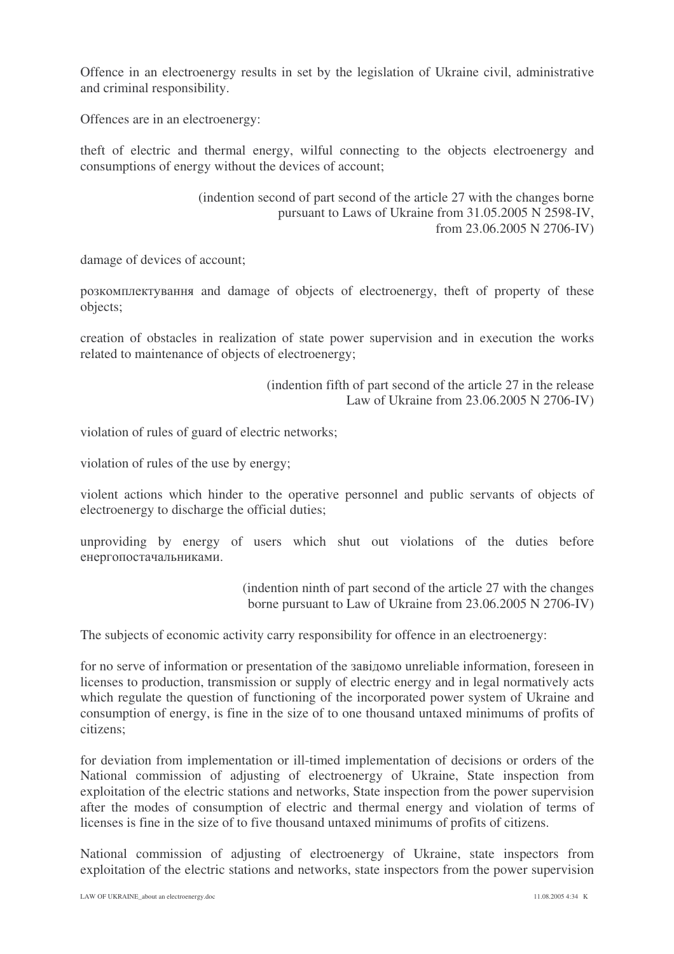Offence in an electroenergy results in set by the legislation of Ukraine civil, administrative and criminal responsibility.

Offences are in an electroenergy:

theft of electric and thermal energy, wilful connecting to the objects electroenergy and consumptions of energy without the devices of account;

> (indention second of part second of the article 27 with the changes borne pursuant to Laws of Ukraine from 31.05.2005 N 2598-IV, from 23.06.2005 N 2706-IV)

damage of devices of account;

розкомплектування and damage of objects of electroenergy, theft of property of these objects;

creation of obstacles in realization of state power supervision and in execution the works related to maintenance of objects of electroenergy;

> (indention fifth of part second of the article 27 in the release Law of Ukraine from 23.06.2005 N 2706-IV)

violation of rules of guard of electric networks;

violation of rules of the use by energy;

violent actions which hinder to the operative personnel and public servants of objects of electroenergy to discharge the official duties;

unproviding by energy of users which shut out violations of the duties before енергопостачальниками.

> (indention ninth of part second of the article 27 with the changes borne pursuant to Law of Ukraine from 23.06.2005 N 2706-IV)

The subjects of economic activity carry responsibility for offence in an electroenergy:

for no serve of information or presentation of the завідомо unreliable information, foreseen in licenses to production, transmission or supply of electric energy and in legal normatively acts which regulate the question of functioning of the incorporated power system of Ukraine and consumption of energy, is fine in the size of to one thousand untaxed minimums of profits of citizens;

for deviation from implementation or ill-timed implementation of decisions or orders of the National commission of adjusting of electroenergy of Ukraine, State inspection from exploitation of the electric stations and networks, State inspection from the power supervision after the modes of consumption of electric and thermal energy and violation of terms of licenses is fine in the size of to five thousand untaxed minimums of profits of citizens.

National commission of adjusting of electroenergy of Ukraine, state inspectors from exploitation of the electric stations and networks, state inspectors from the power supervision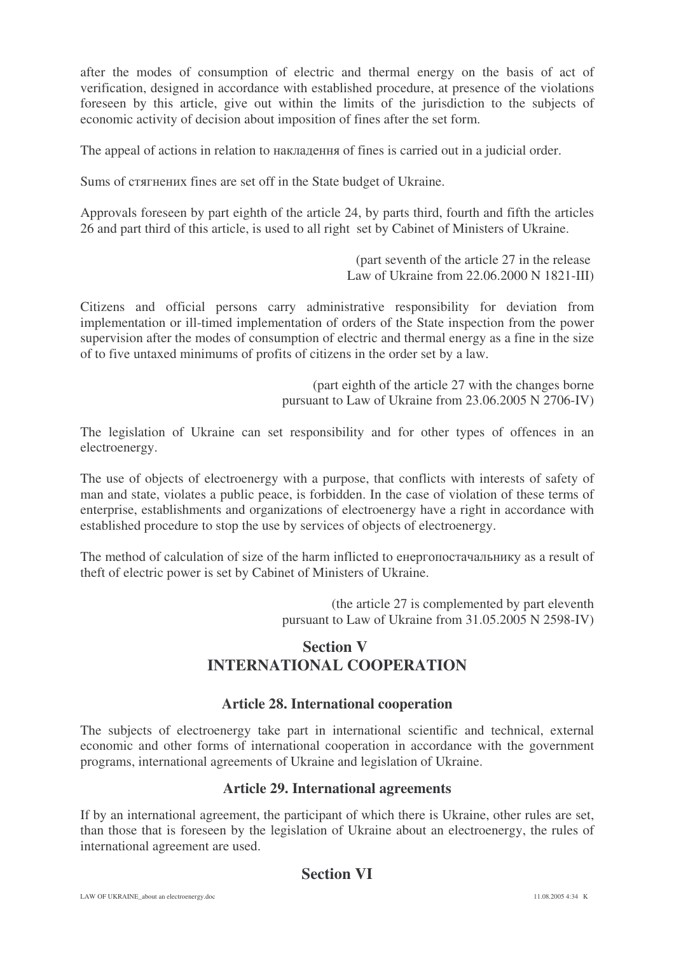after the modes of consumption of electric and thermal energy on the basis of act of verification, designed in accordance with established procedure, at presence of the violations foreseen by this article, give out within the limits of the jurisdiction to the subjects of economic activity of decision about imposition of fines after the set form.

The appeal of actions in relation to накладення of fines is carried out in a judicial order.

Sums of стягнених fines are set off in the State budget of Ukraine.

Approvals foreseen by part eighth of the article 24, by parts third, fourth and fifth the articles 26 and part third of this article, is used to all right set by Cabinet of Ministers of Ukraine.

> (part seventh of the article 27 in the release Law of Ukraine from 22.06.2000 N 1821-III)

Citizens and official persons carry administrative responsibility for deviation from implementation or ill-timed implementation of orders of the State inspection from the power supervision after the modes of consumption of electric and thermal energy as a fine in the size of to five untaxed minimums of profits of citizens in the order set by a law.

> (part eighth of the article 27 with the changes borne pursuant to Law of Ukraine from 23.06.2005 N 2706-IV)

The legislation of Ukraine can set responsibility and for other types of offences in an electroenergy.

The use of objects of electroenergy with a purpose, that conflicts with interests of safety of man and state, violates a public peace, is forbidden. In the case of violation of these terms of enterprise, establishments and organizations of electroenergy have a right in accordance with established procedure to stop the use by services of objects of electroenergy.

The method of calculation of size of the harm inflicted to енергопостачальнику as a result of theft of electric power is set by Cabinet of Ministers of Ukraine.

> (the article 27 is complemented by part eleventh pursuant to Law of Ukraine from 31.05.2005 N 2598-IV)

## **Section V INTERNATIONAL COOPERATION**

#### **Article 28. International cooperation**

The subjects of electroenergy take part in international scientific and technical, external economic and other forms of international cooperation in accordance with the government programs, international agreements of Ukraine and legislation of Ukraine.

#### **Article 29. International agreements**

If by an international agreement, the participant of which there is Ukraine, other rules are set, than those that is foreseen by the legislation of Ukraine about an electroenergy, the rules of international agreement are used.